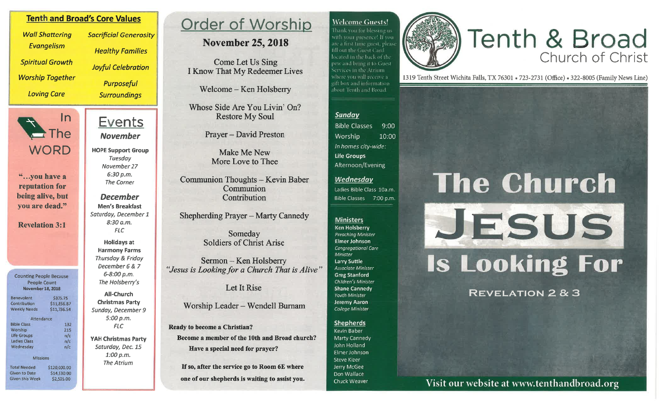## **Welcome Guests!**

Thank you for blessing uswith your presence! If you are a first time cuest. please fill out the Guest Card located in the back of the pew and bring it to Citiest Services in the Atrium. where you will receive a gift box and information. about Tenth and Broad

# Tenth & Broad

1319 Tenth Street Wichita Falls, TX 76301 . 723-2731 (Office) . 322-8005 (Family News Line)

## Sundav

**Bible Classes**  $9.00$ Worship  $10:00$ In homes city-wide: **Life Groups** Afternoon/Evening

## Wednesday

Ladies Bible Class 10a.m. **Bible Classes** 7:00 p.m.

#### **Ministers**

**Ken Holsberry** Preaching Minister Elmer Johnson Congregational Care Minister Larry Suttle Associate Minister **Greg Stanford** Children's Minister **Shane Cannedy** Youth Minister Jeremy Aaron College Minister

#### **Shepherds**

**Kevin Baber** Marty Cannedy John Holland Elmer Johnson Steve Kizer Jerry McGee Don Wallace Chuck Weaver

## **The Church** JESUS **Is Looking For**

**REVELATION 2 & 3** 

Visit our website at www.tenthandbroad.org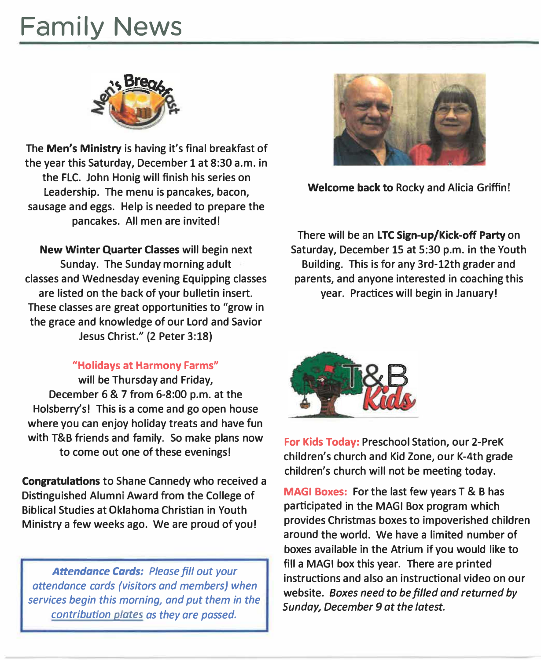## **Family News**



**The Men's Ministry is having it's final breakfast of the year this Saturday, December 1 at 8:30 a.m. in the FLC. John Honig will finish his series on Leadership. The menu is pancakes, bacon, sausage and eggs. Help is needed to prepare the pancakes. All men are invited!** 

**New Winter Quarter Classes will begin next Sunday. The Sunday morning adult classes and Wednesday evening Equipping classes are listed on the back of your bulletin insert. These classes are great opportunities to "grow in the grace and knowledge of our Lord and Savior Jesus Christ." (2 Peter 3:18}** 

#### **"Holidays at Harmony Farms"**

**will be Thursday and Friday, December 6 & 7 from 6-8:00 p.m. at the Holsberry's! This is a come and go open house where you can enjoy holiday treats and have fun with T&B friends and family. So make plans now to come out one of these evenings!** 

**Congratulations to Shane Cannedy who received a Distinguished Alumni Award from the College of Biblical Studies at Oklahoma Christian in Youth Ministry a few weeks ago. We are proud of you!** 

*Attendance Cards: Please fill out your attendance cards (visitors and members) when services begin this morning, and put them in the contribution plates as they are passed.* 



**Welcome back to Rocky and Alicia Griffin!** 

**There will be an LTC Sign-up/Kick-off Party on Saturday, December 15 at 5:30 p.m. in the Youth Building. This is for any 3rd-12th grader and parents, and anyone interested in coaching this year. Practices will begin in January!** 



**For Kids Today: Preschool Station, our 2-PreK children's church and Kid Zone, our K-4th grade children's church will not be meeting today.** 

**MAGI Boxes: For the last few years T & B has participated in the MAGI Box program which provides Christmas boxes to impoverished children around the world. We have a limited number of boxes available in the Atrium if you would like to fill a MAGI box this year. There are printed instructions and also an instructional video on our website.** *Boxes need to be filled and returned by Sunday, December 9 at the latest.*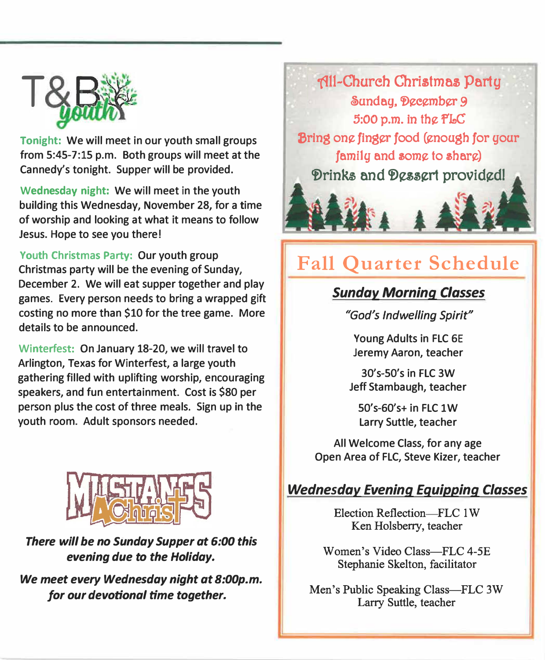

**Tonight: We will meet in our youth small groups from 5:45-7:15 p.m. Both groups will meet at the Cannedy's tonight. Supper will be provided.** 

**Wednesday night: We will meet in the youth building this Wednesday, November 28, for a time of worship and looking at what it means to follow Jesus. Hope to see you there!** 

**Youth Christmas Party: Our youth group Christmas party will be the evening of Sunday, December 2. We will eat supper together and play games. Every person needs to bring a wrapped gift costing no more than \$10 for the tree game. More details to be announced.** 

**Winterfest: On January 18-20, we will travel to Arlington, Texas for Winterfest, a large youth gathering filled with uplifting worship, encouraging speakers, and fun entertainment. Cost is \$80 per person plus the cost of three meals. Sign up in the youth room. Adult sponsors needed.** 



*There will be no Sunday Supper at 6:00 this evening due to the Holiday.* 

*We meet every Wednesday night at 8:00p.m.*  for our devotional time together.



## **Fall Quarter Schedule**

## *Sunday Morning Classes*

*"God's Indwelling Spirit"* 

**Young Adults in FLC 6E Jeremy Aaron, teacher** 

**30's-50's in FLC 3W Jeff Stambaugh, teacher** 

**50's-60's+ in FLC lW Larry Suttle, teacher** 

**All Welcome Class, for any age Open Area of FLC, Steve Kizer, teacher** 

## *Wednesday Evening Equipping Classes*

Election Reflection- $\equiv$ FLC 1W Ken Holsberry, teacher

Women's Video Class-FLC 4-5E Stephanie Skelton, facilitator

Men's Public Speaking Class-FLC 3W Larry Suttle, teacher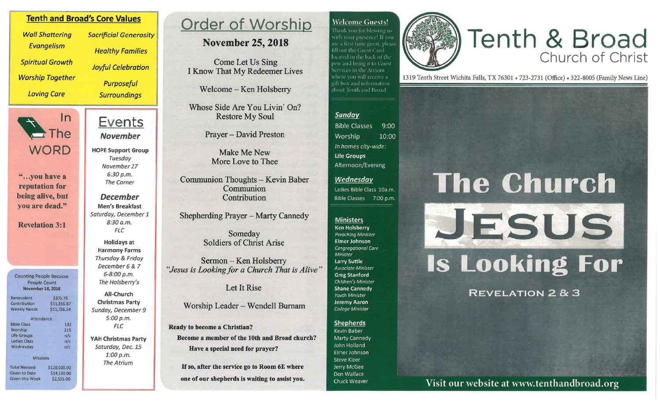## **Tenth and Broad's Core Values**

**Wall Shattering** Evangelism **Spiritual Growth Worship Together Loving Care** 

 $ln$  $\rightarrow$  The **WORD** 

"...you have a reputation for being alive, but you are dead."

**Revelation 3:1** 

**Counting People Because** People Count **November 18, 2018** 

| <b>Benevolent</b>    | \$375.75     |
|----------------------|--------------|
| Contribution         | \$11,856.87  |
| <b>Weekly Needs</b>  | \$11,736.54  |
| Attendance           |              |
| <b>Bible Class</b>   | 132          |
| Worship              | 215          |
| <b>Life Groups</b>   | n/c          |
| <b>Ladies Class</b>  | n/c          |
| Wednesdav            | n/c          |
| <b>Missions</b>      |              |
|                      |              |
| <b>Total Needed</b>  | \$120,000.00 |
| <b>Given to Date</b> | \$14,930.00  |

\$2,505.00

**Given this Week** 

**Sacrificial Generosity Healthy Families Jovful Celebration Purposeful Surroundings** 

## Events **November**

**HOPE Support Group** Tuesdav November 27  $6:30 p.m.$ **The Corner** 

**December Men's Breakfast** Saturday, December 1  $8:30 a.m.$ **FLC** 

**Holidays at Harmony Farms Thursday & Friday** December 6 & 7 6-8:00 p.m. The Holsberry's

**All-Church Christmas Party** Sunday, December 9  $5:00 p.m.$  $FLC$ 

**YAH Christmas Party** Saturday, Dec. 15  $1:00 p.m.$ **The Atrium** 

## **Order of Worship**

## **November 25, 2018**

Come Let Us Sing **I Know That My Redeemer Lives** 

Welcome - Ken Holsberry

Whose Side Are You Livin' On? **Restore My Soul** 

**Prayer – David Preston** 

Make Me New More Love to Thee

**Communion Thoughts - Kevin Baber** Communion Contribution

Shepherding Prayer - Marty Cannedy

Someday **Soldiers of Christ Arise** 

Sermon – Ken Holsberry "Jesus is Looking for a Church That is Alive"

Let It Rise

## Worship Leader - Wendell Burnam

**Ready to become a Christian?** Become a member of the 10th and Broad church? Have a special need for prayer?

If so, after the service go to Room 6E where one of our shepherds is waiting to assist you.